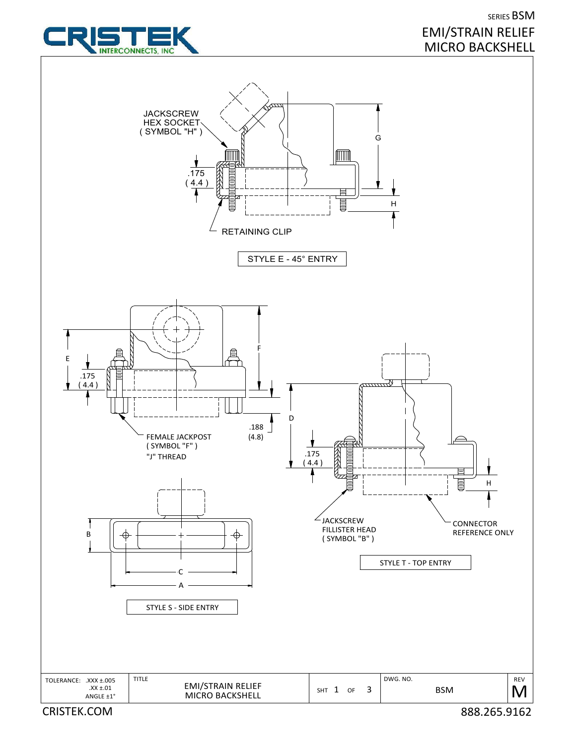

# SERIES BSM EMI/STRAIN RELIEF MICRO BACKSHELL

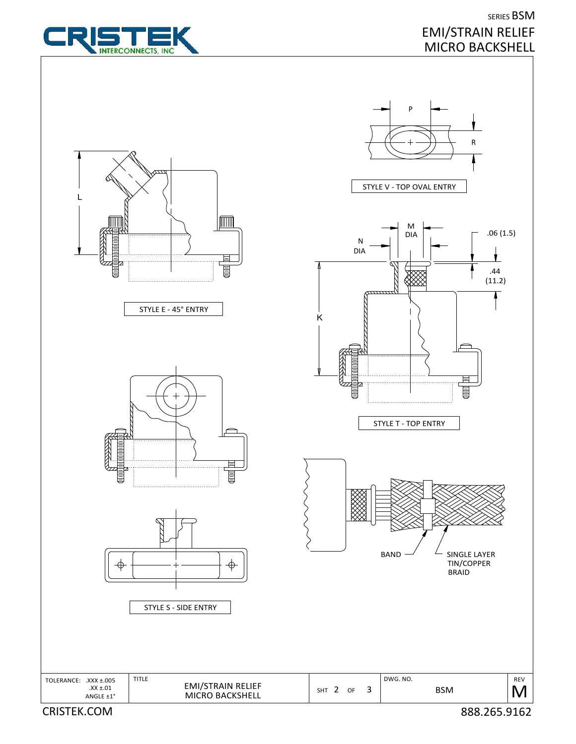

## SERIES BSM EMI/STRAIN RELIEF MICRO BACKSHELL